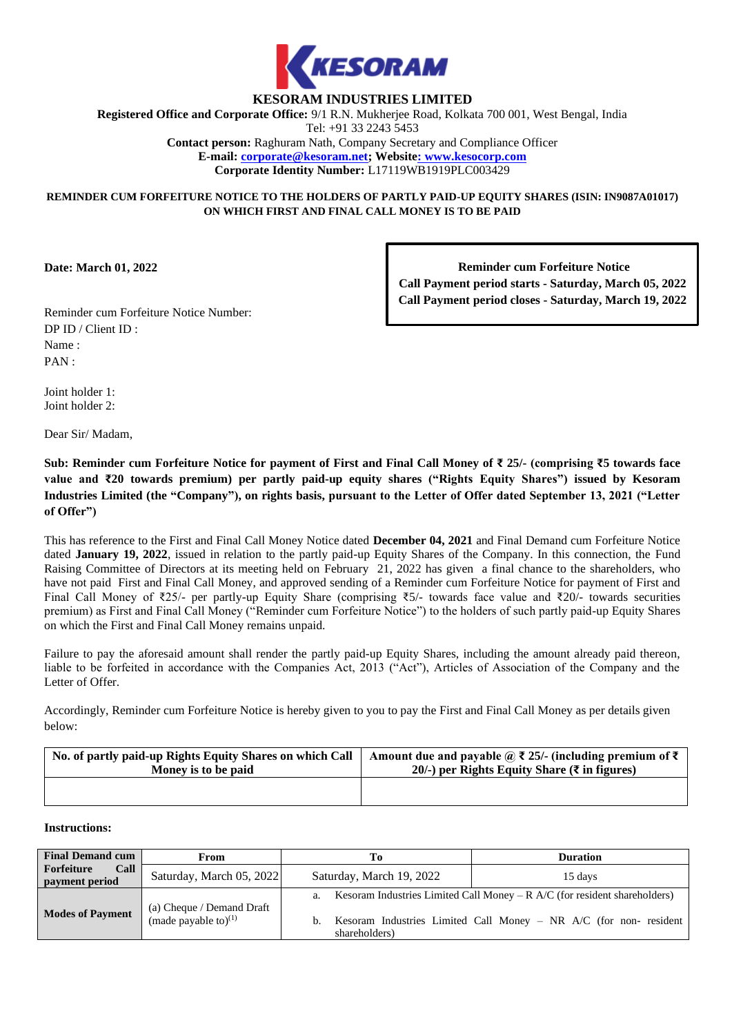

# **KESORAM INDUSTRIES LIMITED**

**Registered Office and Corporate Office:** 9/1 R.N. Mukherjee Road, Kolkata 700 001, West Bengal, India

Tel: +91 33 2243 5453

**Contact person:** Raghuram Nath, Company Secretary and Compliance Officer **E-mail: corporate@kesoram.net; Website: www.kesocorp.com Corporate Identity Number:** L17119WB1919PLC003429

### **REMINDER CUM FORFEITURE NOTICE TO THE HOLDERS OF PARTLY PAID-UP EQUITY SHARES (ISIN: IN9087A01017) ON WHICH FIRST AND FINAL CALL MONEY IS TO BE PAID**

**Date: March 01, 2022**

**Reminder cum Forfeiture Notice Call Payment period starts - Saturday, March 05, 2022 Call Payment period closes - Saturday, March 19, 2022**

Reminder cum Forfeiture Notice Number: DP ID / Client ID : Name : PAN :

Joint holder 1: Joint holder 2:

Dear Sir/ Madam,

**Sub: Reminder cum Forfeiture Notice for payment of First and Final Call Money of ₹ 25/- (comprising ₹5 towards face value and ₹20 towards premium) per partly paid-up equity shares ("Rights Equity Shares") issued by Kesoram Industries Limited (the "Company"), on rights basis, pursuant to the Letter of Offer dated September 13, 2021 ("Letter of Offer")**

This has reference to the First and Final Call Money Notice dated **December 04, 2021** and Final Demand cum Forfeiture Notice dated **January 19, 2022**, issued in relation to the partly paid-up Equity Shares of the Company. In this connection, the Fund Raising Committee of Directors at its meeting held on February 21, 2022 has given a final chance to the shareholders, who have not paid First and Final Call Money, and approved sending of a Reminder cum Forfeiture Notice for payment of First and Final Call Money of ₹25/- per partly-up Equity Share (comprising ₹5/- towards face value and ₹20/- towards securities premium) as First and Final Call Money ("Reminder cum Forfeiture Notice") to the holders of such partly paid-up Equity Shares on which the First and Final Call Money remains unpaid.

Failure to pay the aforesaid amount shall render the partly paid-up Equity Shares, including the amount already paid thereon, liable to be forfeited in accordance with the Companies Act, 2013 ("Act"), Articles of Association of the Company and the Letter of Offer.

Accordingly, Reminder cum Forfeiture Notice is hereby given to you to pay the First and Final Call Money as per details given below:

| No. of partly paid-up Rights Equity Shares on which Call | Amount due and payable $\widehat{a}$ $\overline{\xi}$ 25/- (including premium of $\overline{\xi}$ ) |
|----------------------------------------------------------|-----------------------------------------------------------------------------------------------------|
| Money is to be paid                                      | 20/-) per Rights Equity Share $(\bar{\tau}$ in figures)                                             |
|                                                          |                                                                                                     |

#### **Instructions:**

| <b>Final Demand cum</b>              | From                                                 | Tо                       | <b>Duration</b>                                                            |
|--------------------------------------|------------------------------------------------------|--------------------------|----------------------------------------------------------------------------|
| Forfeiture<br>Call<br>payment period | Saturday, March 05, 2022                             | Saturday, March 19, 2022 | 15 days                                                                    |
|                                      |                                                      | a.                       | Kesoram Industries Limited Call Money $-R$ A/C (for resident shareholders) |
| <b>Modes of Payment</b>              | (a) Cheque / Demand Draft<br>(made payable to) $(1)$ | shareholders)            | b. Kesoram Industries Limited Call Money – NR $A/C$ (for non-resident      |